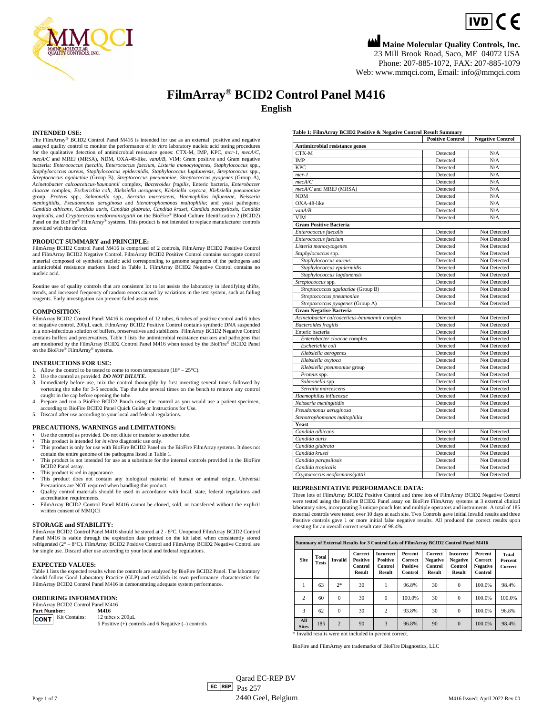

## **Maine Molecular Quality Controls, Inc.**

 $IVD$   $C$   $E$ 

23 Mill Brook Road, Saco, ME 04072 USA Phone: 207-885-1072, FAX: 207-885-1079 Web[: www.mmqci.com,](http://www.mmqci.com/) Email[: info@mmqci.com](mailto:info@mmqci.com)

## **FilmArray® BCID2 Control Panel M416 English**

#### **INTENDED USE:**

The FilmArray® BCID2 Control Panel M416 is intended for use as an external positive and negative assayed quality control to monitor the performance of *in vitro* laboratory nucleic acid testing procedures for the qualitative detection of antimicrobial resistance genes: CTX-M, IMP, KPC, *mcr-1*, *mecA/C*, *mecA/C* and MREJ (MRSA), NDM, OXA-48-like*, vanA/B*, VIM; Gram positive and Gram negative bacteria: *Enterococcus faecalis*, *Enterococcus faecium*, *Listeria monocytogenes*, *Staphylococcus* spp., *Staphylococcus aureus*, *Staphylococcus epidermidis*, *Staphylococcus lugdunensis*, *Streptococcus* spp*., Streptococcus agalactiae* (Group B), *Streptococcus pneumoniae*, *Streptococcus pyogenes* (Group A), *Acinetobacter calcoaceticus-baumannii* complex, *Bacteroides fragilis*, Enteric bacteria, *Enterobacter cloacae* complex, *Escherichia coli*, *Klebsiella aerogenes*, *Klebsiella oxytoca*, *Klebsiella pneumoniae* group, Proteus spp., Salmonella spp., Serratia marcescens, Haemophilus influenzae, Neisseria<br>meningitidis, Pseudomonas aeruginosa and Stenotrophomonas maltophilia; and yeast pathogens: *Candida albicans*, *Candida auris*, *Candida glabrata*, *Candida krusei*, *Candida parapsilosis*, *Candida tropicalis*, and *Cryptococcus neoformans/gattii* on the BioFire® Blood Culture Identification 2 (BCID2) Panel on the BioFire® FilmArray® systems. This product is not intended to replace manufacturer controls provided with the device.

#### **PRODUCT SUMMARY and PRINCIPLE:**

FilmArray BCID2 Control Panel M416 is comprised of 2 controls, FilmArray BCID2 Positive Control and FilmArray BCID2 Negative Control. FilmArray BCID2 Positive Control contains surrogate control material composed of synthetic nucleic acid corresponding to genome segments of the pathogens and antimicrobial resistance markers listed in Table 1. FilmArray BCID2 Negative Control contains no nucleic acid.

Routine use of quality controls that are consistent lot to lot assists the laboratory in identifying shifts, trends, and increased frequency of random errors caused by variations in the test system, such as failing reagents. Early investigation can prevent failed assay runs.

#### **COMPOSITION:**

FilmArray BCID2 Control Panel M416 is comprised of 12 tubes, 6 tubes of positive control and 6 tubes of negative control, 200μL each. FilmArray BCID2 Positive Control contains synthetic DNA suspended in a non-infectious solution of buffers, preservatives and stabilizers. FilmArray BCID2 Negative Control contains buffers and preservatives. Table 1 lists the antimicrobial resistance markers and pathogens that are monitored by the FilmArray BCID2 Control Panel M416 when tested by the BioFire® BCID2 Panel on the BioFire® FilmArray® systems.

#### **INSTRUCTIONS FOR USE:**

- Allow the control to be tested to come to room temperature  $(18^{\circ} 25^{\circ}C)$ .
- 2. Use the control as provided. *DO NOT DILUTE*.<br>3. Immediately before use mix the control thoro
- 3. Immediately before use, mix the control thoroughly by first inverting several times followed by vortexing the tube for 3-5 seconds. Tap the tube several times on the bench to remove any control caught in the cap before opening the tube.
- 4. Prepare and run a BioFire BCID2 Pouch using the control as you would use a patient specimen, according to BioFire BCID2 Panel Quick Guide or Instructions for Use. 5. Discard after use according to your local and federal regulations.
- **PRECAUTIONS, WARNINGS and LIMITATIONS:**
- 
- Use the control as provided. Do not dilute or transfer to another tube. This product is intended for *in vitro* diagnostic use only.
- This product is only for use with BioFire BCID2 Panel on the BioFire FilmArray systems. It does not contain the entire genome of the pathogens listed in Table 1. • This product is not intended for use as a substitute for the internal controls provided in the BioFire
- BCID2 Panel assay.
- This product is red in appearance.
- This product does not contain any biological material of human or animal origin. Universal Precautions are NOT required when handling this product.
- Quality control materials should be used in accordance with local, state, federal regulations and accreditation requirements.
- FilmArray BCID2 Control Panel M416 cannot be cloned, sold, or transferred without the explicit written consent of MMQCI

#### **STORAGE and STABILITY:**

FilmArray BCID2 Control Panel M416 should be stored at 2 - 8°C. Unopened FilmArray BCID2 Control Panel M416 is stable through the expiration date printed on the kit label when consistently stored refrigerated ( $2^{\circ} - 8^{\circ}$ C). FilmArray BCID2 Positive Control and FilmArray BCID2 Negative Control are for single use. Discard after use according to your local and federal regulations.

#### **EXPECTED VALUES:**

Table 1 lists the expected results when the controls are analyzed by BioFire BCID2 Panel. The laboratory should follow Good Laboratory Practice (GLP) and establish its own performance characteristics for FilmArray BCID2 Control Panel M416 in demonstrating adequate system performance.

#### **ORDERING INFORMATION:**

| FilmArray BCID2 Control Panel M416 |                                                                                     |  |  |  |  |  |
|------------------------------------|-------------------------------------------------------------------------------------|--|--|--|--|--|
| <b>Part Number:</b>                | M416                                                                                |  |  |  |  |  |
| <b>CONT</b> Kit Contains:          | 12 tubes $x$ 200 $\mu$ L<br>6 Positive $(+)$ controls and 6 Negative $(-)$ controls |  |  |  |  |  |

#### **Table 1: FilmArray BCID2 Positive & Negative Control Result Summary**

| rabic 1. 1 min.trial DCDD room te et regain community annimal | <b>Positive Control</b> | <b>Negative Control</b> |
|---------------------------------------------------------------|-------------------------|-------------------------|
| Antimicrobial resistance genes                                |                         |                         |
| CTX-M                                                         | Detected                | N/A                     |
| <b>IMP</b>                                                    | Detected                | N/A                     |
| <b>KPC</b>                                                    | Detected                | N/A                     |
| $mcr-1$                                                       | Detected                | N/A                     |
| mecA/C                                                        | Detected                | N/A                     |
| mecA/C and MREJ (MRSA)                                        | Detected                | N/A                     |
| <b>NDM</b>                                                    | Detected                | N/A                     |
| OXA-48-like                                                   | Detected                | N/A                     |
| van A/B                                                       | Detected                | N/A                     |
| VIM                                                           | Detected                | N/A                     |
| <b>Gram Positive Bacteria</b>                                 |                         |                         |
| Enterococcus faecalis                                         | Detected                | Not Detected            |
| Enterococcus faecium                                          | Detected                | Not Detected            |
| Listeria monocytogenes                                        | Detected                | Not Detected            |
| Staphylococcus spp.                                           | Detected                | Not Detected            |
| Staphylococcus aureus                                         | Detected                | Not Detected            |
| Staphylococcus epidermidis                                    | Detected                | Not Detected            |
| Staphylococcus lugdunensis                                    | Detected                | Not Detected            |
| Streptococcus spp.                                            | Detected                | Not Detected            |
| Streptococcus agalactiae (Group B)                            | Detected                | Not Detected            |
| Streptococcus pneumoniae                                      | Detected                | Not Detected            |
| Streptococcus pyogenes (Group A)                              | Detected                | Not Detected            |
| <b>Gram Negative Bacteria</b>                                 |                         |                         |
| Acinetobacter calcoaceticus-baumannii complex                 | Detected                | Not Detected            |
| <b>Bacteroides</b> fragilis                                   | Detected                | Not Detected            |
| Enteric bacteria                                              | Detected                | Not Detected            |
| Enterobacter cloacae complex                                  | Detected                | Not Detected            |
| Escherichia coli                                              | Detected                | Not Detected            |
| Klebsiella aerogenes                                          | Detected                | Not Detected            |
| Klebsiella oxytoca                                            | Detected                | Not Detected            |
| Klebsiella pneumoniae group                                   | Detected                | Not Detected            |
| Proteus spp.                                                  | Detected                | Not Detected            |
| Salmonella spp.                                               | Detected                | Not Detected            |
| Serratia marcescens                                           | Detected                | Not Detected            |
| Haemophilus influenzae                                        | Detected                | Not Detected            |
| Neisseria meningitidis                                        | Detected                | Not Detected            |
| Pseudomonas aeruginosa                                        | Detected                | Not Detected            |
| Stenotrophomonas maltophilia                                  | Detected                | Not Detected            |
| Yeast                                                         |                         |                         |
| Candida albicans                                              | Detected                | Not Detected            |
| Candida auris                                                 | Detected                | Not Detected            |
| Candida glabrata                                              | Detected                | Not Detected            |
| Candida krusei                                                | Detected                | Not Detected            |
| Candida parapsilosis                                          | Detected                | Not Detected            |
| Candida tropicalis                                            | Detected                | Not Detected            |
| Cryptococcus neoformans/gattii                                | Detected                | Not Detected            |

#### **REPRESENTATIVE PERFORMANCE DATA:**

Three lots of FilmArray BCID2 Positive Control and three lots of FilmArray BCID2 Negative Control were tested using the BioFire BCID2 Panel assay on BioFire FilmArray systems at 3 external clinical laboratory sites, incorporating 3 unique pouch lots and multiple operators and instruments. A total of 185 external controls were tested over 10 days at each site. Two Controls gave initial Invalid results and three Positive controls gave 1 or more initial false negative results. All produced the correct results upon retesting for an overall correct result rate of 98.4%.

|                     | Summary of External Results for 3 Control Lots of FilmArray BCID2 Control Panel M416 |                |                                                 |                                                          |                                                  |                                                 |                                                                 |                                                  |                             |
|---------------------|--------------------------------------------------------------------------------------|----------------|-------------------------------------------------|----------------------------------------------------------|--------------------------------------------------|-------------------------------------------------|-----------------------------------------------------------------|--------------------------------------------------|-----------------------------|
| <b>Site</b>         | Total<br><b>Tests</b>                                                                | Invalid        | Correct<br><b>Positive</b><br>Control<br>Result | <b>Incorrect</b><br><b>Positive</b><br>Control<br>Result | Percent<br>Correct<br><b>Positive</b><br>Control | Correct<br><b>Negative</b><br>Control<br>Result | <b>Incorrect</b><br><b>Negative</b><br>Control<br><b>Result</b> | Percent<br>Correct<br><b>Negative</b><br>Control | Total<br>Percent<br>Correct |
| 1                   | 63                                                                                   | $2*$           | 30                                              |                                                          | 96.8%                                            | 30                                              | $\Omega$                                                        | 100.0%                                           | 98.4%                       |
| $\overline{c}$      | 60                                                                                   | $\Omega$       | 30                                              | $\Omega$                                                 | 100.0%                                           | 30                                              | $\Omega$                                                        | 100.0%                                           | 100.0%                      |
| 3                   | 62                                                                                   | $\Omega$       | 30                                              | $\overline{c}$                                           | 93.8%                                            | 30                                              | $\Omega$                                                        | 100.0%                                           | 96.8%                       |
| All<br><b>Sites</b> | 185                                                                                  | $\overline{2}$ | 90                                              | 3                                                        | 96.8%                                            | 90                                              | $\Omega$                                                        | 100.0%                                           | 98.4%                       |

\* Invalid results were not included in percent correct.

BioFire and FilmArray are trademarks of BioFire Diagnostics, LLC

 $E<sub>C</sub>$  REP  $Pas 257$ Qarad EC-REP BV Page 1 of 7 M416 Issued: April 2022 Rev.00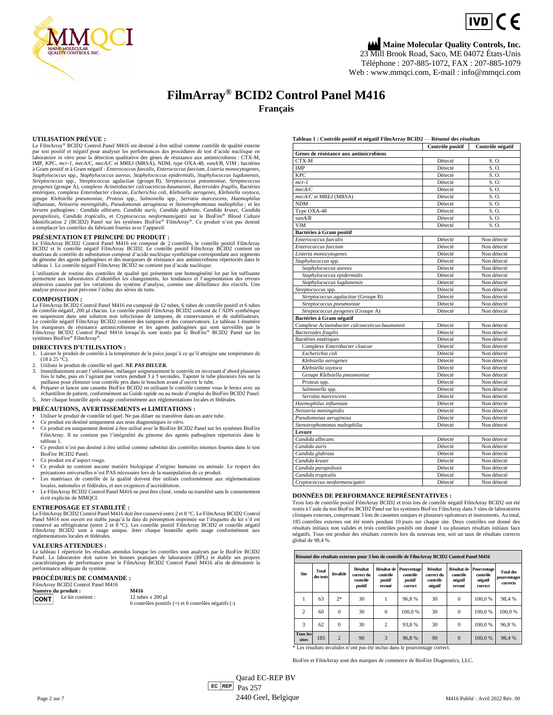

**Maine Molecular Quality Controls, Inc.** 23 Mill Brook Road, Saco, ME 04072 États-Unis Téléphone : 207-885-1072, FAX : 207-885-1079

Web [: www.mmqci.com,](http://www.mmqci.com/) E-mail : [info@mmqci.com](mailto:info@mmqci.com)

### **FilmArray® BCID2 Control Panel M416 Français**

#### **UTILISATION PRÉVUE :**

Le FilmArray® BCID2 Control Panel M416 est destiné à être utilisé comme contrôle de qualité externe par test positif et négatif pour analyser les performances des procédures de test d'acide nucléique en laboratoire *in vitro* pour la détection qualitative des gènes de résistance aux antimicrobiens : CTX-M, IMP, KPC, *mcr-1*, *mecA/C*, *mecA/C* et MREJ (MRSA), NDM, type OXA-48*, vanA/B*, VIM ; bactéries à Gram positif et à Gram négatif : *Enterococcus faecalis*, *Enterococcus faecium*, *Listeria monocytogenes*, Staphylococcus spp., Staphylococcus aureus, Staphylococcus epidermidis, Staphylococcus lugdunensis,<br>Streptococcus spp., Streptococcus agalactiae (groupe B), Streptococcus pneumoniae, Streptococcus pyogenes (groupe A), complexe Acinetobacter calcoaceticus-baumannii, Bacteroides fragilis, Bactéries<br>entériques, complexe *Enterobacter cloacae, Escherichia coli, Klebsiella aerogenes, Klebsiella oxytoca*, groupe Klebsiella pneumoniae, Proteus spp., Salmonella spp., Serratia marcescens, Haemophilus<br>influenzae, Neisseria meningitidis, Pseudomonas aeruginosa et Stenotrophomonas maltophilia ; et les<br>levures pathogènes : Candida parapsilosis, Candida tropicalis, et Cryptococcus neoformans/gattii sur le BioFire® Blood Culture<br>Identification 2 (BCID2) Panel sur les systèmes BioFire® FilmArray®. Ce produit n'est pas destiné<br>à remplacer les contrôles

**PRÉSENTATION ET PRINCIPE DU PRODUIT :**<br>Le FilmArray BCID2 Contrôle positif FilmArray BCID2 contrôles, le contrôle positif FilmArray<br>BCID2 et le contrôle négatif FilmArray BCID2. Le contrôle positif FilmArray BCID2 contien

L'utilisation de routine des contrôles de qualité qui présentent une homogénéité lot par lot suffisante permettent aux laboratoires d'identifier les changements, les tendances et l'augmentation des erreurs aléatoires causées par les variations du système d'analyse, comme une défaillance des réactifs. Une analyse précoce peut prévenir l'échec des séries de tests.

#### **COMPOSITION :**

Le FilmArray BCID2 Control Panel M416 est composé de 12 tubes, 6 tubes de contrôle positif et 6 tubes de contrôle négatif, 200 µl chacun. Le contrôle positif FilmArray BCID2 contient de l'ADN synthétique<br>en suspension dans une solution non infectieuse de tampons, de conservateurs et de stabilisateurs.<br>Le contrôle négatif F les marqueurs de résistance antimicrobienne et les agents pathogènes qui sont surveillés par le FilmArray BCID2 Control Panel M416 lorsqu'ils sont testés par le BioFire® BCID2 Panel sur les systèmes BioFire® FilmArray®.

#### **DIRECTIVES D'UTILISATION :**

1. Laisser le produit de contrôle à la température de la pièce jusqu'à ce qu'il atteigne une température de (18 à 25 °C).

- 2. Utilisez le produit de contrôle tel quel. *NE PAS DILUER.*
- 3. Immédiatement avant l'utilisation, mélanger soigneusement le contrôle en inversant d'abord plusieurs<br>fois le tube, puis en l'agitant par vortex pendant 3 à 5 secondes. Tapoter le tube plusieurs fois sur la<br>paillasse pou
- échantillon de patient, conformément au Guide rapide ou au mode d'emploi du BioFire BCID2 Panel.
- 5. Jeter chaque bouteille après usage conformément aux réglementations locales et fédérales.

#### **PRÉCAUTIONS, AVERTISSEMENTS et LIMITATIONS :**

- Utiliser le produit de contrôle tel quel. Ne pas diluer ou transférer dans un autre tube. Ce produit est destiné uniquement aux tests diagnostiques *in vitro*.
- 
- Ce produit est uniquement destiné à être utilisé avec le BioFire BCID2 Panel sur les systèmes BioFire FilmArray. Il ne contient pas l'intégralité du génome des agents pathogènes répertoriés dans le tableau 1.
- Ce produit n'est pas destiné à être utilisé comme substitut des contrôles internes fournis dans le test BioFire BCID2 Panel.
- Ce produit est d'aspect rouge.
- Ce produit ne contient aucune matière biologique d'origine humaine ou animale. Le respect des précautions universelles n'est PAS nécessaire lors de la manipulation de ce produit. • Les matériaux de contrôle de la qualité doivent être utilisés conformément aux réglementations
- locales, nationales et fédérales, et aux exigences d'accréditation. Le FilmArray BCID2 Control Panel M416 ne peut être cloné, vendu ou transféré sans le consentement
- écrit explicite de MMQCI.

#### **ENTREPOSAGE ET STABILITÉ :**

Le FilmArray BCID2 Control Panel M416 doit être conservé entre 2 et 8 °C. Le FilmArray BCID2 Control<br>Panel M416 non ouvert est stable jusqu'à la date de péremption imprimée sur l'étiquette du kit s'il est<br>conservé au réfri réglementations locales et fédérales.

#### **VALEURS ATTENDUES :**

Le tableau 1 répertorie les résultats attendus lorsque les contrôles sont analysés par le BioFire BCID2<br>Panel. Le laboratoire doit suivre les bonnes pratiques de laboratoire (BPL) et établir ses propres<br>caractéristiques de performance adéquate du système.

#### **PROCÉDURES DE COMMANDE :**

#### FilmArray BCID2 Control Panel M416 **Numéro du produit :**<br> **EXALLEXENTERENTE DE LA EXACTE DE LA EXACTE DE LA EXACTE DE LA EXACTE DE LA EXACTE DE LA EXACTE DE LA EXACTE DE LA EXACTE DE LA EXACTE DE LA EXACTE DE LA EXACTE DE LA EXACTE DE LA EXACTE DE LA EXACTE**



6 contrôles positifs (+) et 6 contrôles négatifs (-)

#### **Tableau 1 : Contrôle positif et négatif FilmArray BCID2** — **Résumé des résultats**

|                                                | Contrôle positif | Contrôle négatif |
|------------------------------------------------|------------------|------------------|
| Gènes de résistance aux antimicrobiens         |                  |                  |
| CTX-M                                          | Détecté          | S.O.             |
| IMP                                            | Détecté          | S.O.             |
| <b>KPC</b>                                     | Détecté          | S.O.             |
| $mcr-1$                                        | Détecté          | S.O.             |
| mecA/C                                         | Détecté          | S. O.            |
| mecA/C et MREJ (MRSA)                          | Détecté          | S.O.             |
| <b>NDM</b>                                     | Détecté          | S.O.             |
| Type OXA-48                                    | Détecté          | S.O.             |
| van A/B                                        | Détecté          | S.O.             |
| <b>VIM</b>                                     | Détecté          | S.O.             |
| Bactéries à Gram positif                       |                  |                  |
| Enterococcus faecalis                          | Détecté          | Non détecté      |
| Enterococcus faecium                           | Détecté          | Non détecté      |
| Listeria monocytogenes                         | Détecté          | Non détecté      |
| Staphylococcus spp.                            | Détecté          | Non détecté      |
| Staphylococcus aureus                          | Détecté          | Non détecté      |
| Staphylococcus epidermidis                     | Détecté          | Non détecté      |
| Staphylococcus lugdunensis                     | Détecté          | Non détecté      |
| Streptococcus spp.                             | Détecté          | Non détecté      |
| Streptococcus agalactiae (Groupe B)            | Détecté          | Non détecté      |
| Streptococcus pneumoniae                       | Détecté          | Non détecté      |
| Streptococcus pyogenes (Groupe A)              | Détecté          | Non détecté      |
| Bactéries à Gram négatif                       |                  |                  |
| Complexe Acinetobacter calcoaceticus-baumannii | Détecté          | Non détecté      |
| <b>Bacteroides</b> fragilis                    | Détecté          | Non détecté      |
| Bactéries entériques                           | Détecté          | Non détecté      |
| Complexe Enterobacter cloacae                  | Détecté          | Non détecté      |
| Escherichia coli                               | Détecté          | Non détecté      |
| Klebsiella aerogenes                           | Détecté          | Non détecté      |
| Klebsiella oxytoca                             | Détecté          | Non détecté      |
| Groupe Klebsiella pneumoniae                   | Détecté          | Non détecté      |
| Proteus spp.                                   | Détecté          | Non détecté      |
| Salmonella spp.                                | Détecté          | Non détecté      |
| Serratia marcescens                            | Détecté          | Non détecté      |
| Haemophilus influenzae                         | Détecté          | Non détecté      |
| Neisseria meningitidis                         | Détecté          | Non détecté      |
| Pseudomonas aeruginosa                         | Détecté          | Non détecté      |
| Stenotrophomonas maltophilia                   | Détecté          | Non détecté      |
| Levure                                         |                  |                  |
| Candida albicans                               | Détecté          | Non détecté      |
| Candida auris                                  | Détecté          | Non détecté      |
| Candida glabrata                               | Détecté          | Non détecté      |
| Candida krusei                                 | Détecté          | Non détecté      |
| Candida parapsilosis                           | Détecté          | Non détecté      |
| Candida tropicalis                             | Détecté          | Non détecté      |
| Cryptococcus neoformans/gattii                 | Détecté          | Non détecté      |

#### **DONNÉES DE PERFORMANCE REPRÉSENTATIVES :**

Trois lots de contrôle positif FilmArray BCID2 et trois lots de contrôle négatif FilmArray BCID2 ont été testés à l'aide du test BioFire BCID2 Panel sur les systèmes BioFire FilmArray dans 3 sites de laboratoires cliniques externes, comprenant 3 lots de cassettes uniques et plusieurs opérateurs et instruments. Au total, 185 contrôles externes ont été testés pendant 10 jours sur chaque site. Deux contrôles ont donné des résultats initiaux non valides et trois contrôles positifs ont donné 1 ou plusieurs résultats initiaux faux négatifs. Tous ont produit des résultats corrects lors du nouveau test, soit un taux de résultats corrects global de 98,4 %.

|                          | Résumé des résultats externes pour 3 lots de contrôle de FilmArray BCID2 Control Panel M416 |                 |                                                      |                                                     |                                               |                                                      |                                              |                                               |                                              |
|--------------------------|---------------------------------------------------------------------------------------------|-----------------|------------------------------------------------------|-----------------------------------------------------|-----------------------------------------------|------------------------------------------------------|----------------------------------------------|-----------------------------------------------|----------------------------------------------|
| <b>Site</b>              | Total<br>des tests                                                                          | <b>Invalide</b> | <b>Résultat</b><br>correct du<br>contrôle<br>positif | <b>Résultat de</b><br>contrôle<br>positif<br>erroné | Pourcentage<br>contrôle<br>positif<br>correct | <b>Résultat</b><br>correct du<br>contrôle<br>négatif | Résultat de<br>contrôle<br>négatif<br>erroné | Pourcentage<br>contrôle<br>négatif<br>correct | <b>Total des</b><br>pourcentages<br>corrects |
|                          | 63                                                                                          | $2*$            | 30                                                   |                                                     | 96.8%                                         | 30                                                   | $\Omega$                                     | 100.0%                                        | 98.4%                                        |
| $\overline{c}$           | 60                                                                                          | $\Omega$        | 30                                                   | $\Omega$                                            | 100.0%                                        | 30                                                   | $\Omega$                                     | 100.0%                                        | 100.0%                                       |
| 3                        | 62                                                                                          | $\Omega$        | 30                                                   | $\overline{c}$                                      | 93.8%                                         | 30                                                   | $\Omega$                                     | 100.0%                                        | 96.8%                                        |
| <b>Tous les</b><br>sites | 185                                                                                         | $\overline{2}$  | 90                                                   | 3                                                   | 96.8%                                         | 90                                                   | $\Omega$                                     | 100.0%                                        | 98.4 %                                       |

\* Les résultats invalides n'ont pas été inclus dans le pourcentage correct.

BioFire et FilmArray sont des marques de commerce de BioFire Diagnostics, LLC.

Page 2 sur 7  $\begin{array}{|c|c|c|c|c|}\n\hline\n\text{Ec} & \text{REP} \\
\hline\n\end{array}$ Qarad EC-REP BV  $E$ C REP  $P$ as 257 2440 Geel, Belgique M416 Publié : Avril 2022 Rév. 00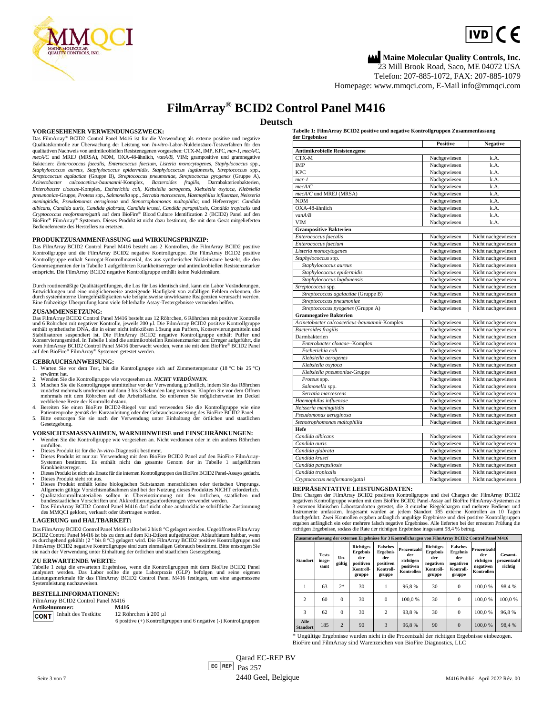

## **Maine Molecular Quality Controls, Inc.**

IVD|( ←

23 Mill Brook Road, Saco, ME 04072 USA

Telefon: 207-885-1072, FAX: 207-885-1079 Homepage: [www.mmqci.com,](http://www.mmqci.com/) E-Mail [info@mmqci.com](mailto:info@mmqci.com)

## **FilmArray® BCID2 Control Panel M416**

#### **Deutsch**

**VORGESEHENER VERWENDUNGSZWECK:**

Das FilmArray® BCID2 Control Panel M416 ist für die Verwendung als externe positive und negative Qualitätskontrolle zur Überwachung der Leistung von *In-vitro*-Labor-Nukleinsäure-Testverfahren für den qualitativen Nachweis von antimikrobiellen Resistenzgenen vorgesehen: CTX-M, IMP, KPC, *mcr-1*, *mecA/C*, *mecA/C* und MREJ (MRSA), NDM, OXA-48-ähnlich*, vanA/B*, VIM; grampositive und gramnegative Bakterien: *Enterococcus faecalis*, *Enterococcus faecium*, *Listeria monocytogenes*, *Staphylococcus* spp., Staphylococcus aureus, Staphylococcus epidermidis, Staphylococcus lugdunensis, Streptococcus spp.,<br>Streptococcus agalactiae (Gruppe B), Streptococcus pneumoniae, Streptococcus pyogenes (Gruppe A), Acinetobacter calcoaceticus-baumannii-Komplex, Bacteroides fragilis, Darmbakterienbakterien,<br>Enterobacter-cloacae-Komplex, Escherichia-coli, Klebsiella-aerogenes, Klebsiella-oxytoca, Klebsiella *pneumoniae*-Gruppe, *Proteus* spp., *Salmonella* spp., *Serratia marcescens*, *Haemophilus influenzae*, *Neisseria meningitidis*, *Pseudomonas aeruginosa* und *Stenotrophomonas maltophilia*; und Hefeerreger: *Candida*  albicans, Candida auris, Candida glabrata, Candida krusei, Candida parapsilosis, Candida tropicalis und<br>Cryptococcus neoformans/gattii auf dem BioFire® Blood Culture Identification 2 (BCID2) Panel auf den BioFire® FilmArray® Systemen. Dieses Produkt ist nicht dazu bestimmt, die mit dem Gerät mitgelieferten Bedienelemente des Herstellers zu ersetzen.

#### **PRODUKTZUSAMMENFASSUNG und WIRKUNGSPRINZIP:**

Das FilmArray BCID2 Control Panel M416 besteht aus 2 Kontrollen, die FilmArray BCID2 positive Kontrollgruppe und die FilmArray BCID2 negative Kontrollgruppe. Die FilmArray BCID2 positive Kontrollgruppe enthält Surrogat-Kontrollmaterial, das aus synthetischer Nukleinsäure besteht, die den Genomsegmenten der in Tabelle 1 aufgeführten Krankheitserreger und antimikrobiellen Resistenzmarker entspricht. Die FilmArray BCID2 negative Kontrollgruppe enthält keine Nukleinsäure.

Durch routinemäßige Qualitätsprüfungen, die Los für Los identisch sind, kann ein Labor Veränderungen,<br>Entwicklungen und eine möglicherweise ansteigende Häufigkeit von zufälligen Fehlern erkennen, die<br>durch systeminterne Um

#### **ZUSAMMENSETZUNG:**

Das FilmArray BCID2 Control Panel M416 besteht aus 12 Röhrchen, 6 Röhrchen mit positiver Kontrolle und 6 Röhrchen mit negativer Kontrolle, jeweils 200 µl. Die FilmArray BCID2 positive Kontrollgruppe<br>enthält synthetische DNA, die in einer nicht infektiösen Lösung aus Puffern, Konservierungsmitteln und<br>Stabilisatoren susp

#### **GEBRAUCHSANWEISUNG:**

- 1. Warten Sie vor dem Test, bis die Kontrollgruppe sich auf Zimmertemperatur (18 °C bis 25 °C) erwärmt hat.<br>erwärmt hat.<br>2. Wenden Sie die Kontrollgruppe wie vorgesehen an. *NICHT VERDÜNNEN*.
- 3. Mischen Sie die Kontrollgruppe unmittelbar vor der Verwendung gründlich, indem Sie das Röhrchen zunächst mehrmals umdrehen und dann 3 bis 5 Sekunden lang vortexen. Klopfen Sie vor dem Öffnen mehrmals mit dem Röhrchen auf die Arbeitsfläche. So entfernen Sie möglicherweise im Deckel verbliebene Reste der Kontrollsubstanz.
- 
- 4. Bereiten Sie einen BioFire BCID2-Riegel vor und verwenden Sie die Kontrollgruppe wie eine<br>Patientenprobe gemäß der Kurzanleitung oder der Gebrauchsanweisung des BioFire BCID2 Panel.<br>5. Bitte entsorgen Sie sie nach der V Gesetzgebung.
- **VORSICHTSMASSNAHMEN, WARNHINWEISE und EINSCHRÄNKUNGEN:** • Wenden Sie die Kontrollgruppe wie vorgesehen an. Nicht verdünnen oder in ein anderes Röhrchen

umfüllen.

- Dieses Produkt ist für die *In-vitro*-Diagnostik bestimmt.
- Dieses Produkt ist nur zur Verwendung mit dem BioFire BCID2 Panel auf den BioFire FilmArray-Systemen bestimmt. Es enthält nicht das gesamte Genom der in Tabelle 1 aufgeführten Krankheitserreger.
- Dieses Produkt ist nicht als Ersatz für die internen Kontrollgruppen des BioFire BCID2 Panel-Assays gedacht.
- Dieses Produkt sieht rot aus. Dieses Produkt enthält keine biologischen Substanzen menschlichen oder tierischen Ursprungs.
- Allgemein gültige Vorsichtsmaßnahmen sind bei der Nutzung dieses Produktes NICHT erforderlich.<br>• Qualitätskontrollmaterialien sollten in Übereinstimmung mit den örtlichen, staatlichen und<br>bundesstaatlichen Vorschriften und
- Das FilmArray BCID2 Control Panel M416 darf nicht ohne ausdrückliche schriftliche Zustimmung des MMQCI geklont, verkauft oder übertragen werden.

#### **LAGERUNG und HALTBARKEIT:**

Das FilmArray BCID2 Control Panel M416 sollte bei 2 bis 8 °C gelagert werden. Ungeöffnetes FilmArray<br>BCID2 Control Panel M416 ist bis zu dem auf dem Kit-Etikett aufgedruckten Ablaufdatum haltbar, wenn<br>es durchgehend geküh

#### **ZU ERWARTENDE WERTE:**

Tabelle 1 zeigt die erwarteten Ergebnisse, wenn die Kontrollgruppen mit dem BioFire BCID2 Panel<br>analysiert werden. Das Labor sollte die gute Laborpraxis (GLP) befolgen und seine eigenen<br>Leistungsmerkmale für das FilmArray Systemleistung nachzuweisen.

#### **BESTELLINFORMATIONEN:**

FilmArray BCID2 Control Panel M416<br>Artikelnummer: M416 **Artikelnummer: M416**<br>**CONT** Inhalt des Testkits: 12 Röhrchen à 200 ul CONT Inhalt des Testkits:

6 positive (+) Kontrollgruppen und 6 negative (-) Kontrollgruppen

**Tabelle 1: FilmArray BCID2 positive und negative Kontrollgruppen Zusammenfassung** 

| der Ergebnisse                                | <b>Positive</b> | <b>Negative</b>    |
|-----------------------------------------------|-----------------|--------------------|
| Antimikrobielle Resistenzgene                 |                 |                    |
| CTX-M                                         | Nachgewiesen    | k.A.               |
| <b>IMP</b>                                    | Nachgewiesen    | k.A.               |
| <b>KPC</b>                                    | Nachgewiesen    | k.A.               |
| $mcr-1$                                       | Nachgewiesen    | k.A.               |
| mecA/C                                        | Nachgewiesen    | k.A.               |
| mecA/C und MREJ (MRSA)                        | Nachgewiesen    | k.A.               |
| <b>NDM</b>                                    | Nachgewiesen    | k.A.               |
| OXA-48-ähnlich                                | Nachgewiesen    | k.A.               |
| van A/B                                       | Nachgewiesen    | k.A.               |
| <b>VIM</b>                                    | Nachgewiesen    | k.A.               |
| <b>Grampositive Bakterien</b>                 |                 |                    |
| Enterococcus faecalis                         | Nachgewiesen    | Nicht nachgewiesen |
| Enterococcus faecium                          | Nachgewiesen    | Nicht nachgewiesen |
| Listeria monocytogenes                        | Nachgewiesen    | Nicht nachgewiesen |
| Staphylococcus spp.                           | Nachgewiesen    | Nicht nachgewiesen |
| Staphylococcus aureus                         | Nachgewiesen    | Nicht nachgewiesen |
| Staphylococcus epidermidis                    | Nachgewiesen    | Nicht nachgewiesen |
| Staphylococcus lugdunensis                    | Nachgewiesen    | Nicht nachgewiesen |
| Streptococcus spp.                            | Nachgewiesen    | Nicht nachgewiesen |
| Streptococcus agalactiae (Gruppe B)           | Nachgewiesen    | Nicht nachgewiesen |
| Streptococcus pneumoniae                      | Nachgewiesen    | Nicht nachgewiesen |
| Streptococcus pyogenes (Gruppe A)             | Nachgewiesen    | Nicht nachgewiesen |
| <b>Gramnegative Bakterien</b>                 |                 |                    |
| Acinetobacter calcoaceticus-baumannii-Komplex | Nachgewiesen    | Nicht nachgewiesen |
| <b>Bacteroides</b> fragilis                   | Nachgewiesen    | Nicht nachgewiesen |
| Darmbakterien                                 | Nachgewiesen    | Nicht nachgewiesen |
| Enterobacter cloacae--Komplex                 | Nachgewiesen    | Nicht nachgewiesen |
| Escherichia coli                              | Nachgewiesen    | Nicht nachgewiesen |
| Klebsiella aerogenes                          | Nachgewiesen    | Nicht nachgewiesen |
| Klebsiella oxytoca                            | Nachgewiesen    | Nicht nachgewiesen |
| Klebsiella pneumoniae-Gruppe                  | Nachgewiesen    | Nicht nachgewiesen |
| Proteus spp.                                  | Nachgewiesen    | Nicht nachgewiesen |
| Salmonella spp.                               | Nachgewiesen    | Nicht nachgewiesen |
| Serratia marcescens                           | Nachgewiesen    | Nicht nachgewiesen |
| Haemophilus influenzae                        | Nachgewiesen    | Nicht nachgewiesen |
| Neisseria meningitidis                        | Nachgewiesen    | Nicht nachgewiesen |
| Pseudomonas aeruginosa                        | Nachgewiesen    | Nicht nachgewiesen |
| Stenotrophomonas maltophilia                  | Nachgewiesen    | Nicht nachgewiesen |
| Hefe                                          |                 |                    |
| Candida albicans                              | Nachgewiesen    | Nicht nachgewiesen |
| Candida auris                                 | Nachgewiesen    | Nicht nachgewiesen |
| Candida glabrata                              | Nachgewiesen    | Nicht nachgewiesen |
| Candida krusei                                | Nachgewiesen    | Nicht nachgewiesen |
| Candida parapsilosis                          | Nachgewiesen    | Nicht nachgewiesen |
| Candida tropicalis                            | Nachgewiesen    | Nicht nachgewiesen |
| Cryptococcus neoformans/gattii                | Nachgewiesen    | Nicht nachgewiesen |

#### **REPRÄSENTATIVE LEISTUNGSDATEN:**

Drei Chargen der FilmArray BCID2 positiven Kontrollgruppe und drei Chargen der FilmArray BCID2 negativen Kontrollgruppe wurden mit dem BioFire BCID2 Panel-Assay auf BioFire FilmArray-Systemen an 3 externen klinischen Laborstandorten getestet, die 3 einzelne Riegelchargen und mehrere Bediener und<br>Instrumente umfassten. Insgesamt wurden an jedem Standort 185 externe Kontrollen an 10 Tagen<br>durchgeführt. Zwei Kontroll

| Zusammenfassung der externen Ergebnisse für 3 Kontrollchargen von FilmArray BCID2 Control Panel M416 |                                |                |                                                                         |                                                                        |                                                            |                                                                                |                                                                        |                                                            |                                   |
|------------------------------------------------------------------------------------------------------|--------------------------------|----------------|-------------------------------------------------------------------------|------------------------------------------------------------------------|------------------------------------------------------------|--------------------------------------------------------------------------------|------------------------------------------------------------------------|------------------------------------------------------------|-----------------------------------|
| <b>Standort</b>                                                                                      | <b>Tests</b><br>insge-<br>samt | Un-<br>gültig  | <b>Richtiges</b><br>Ergebnis<br>der<br>positiven<br>Kontroll-<br>gruppe | <b>Falsches</b><br>Ergebnis<br>der<br>positiven<br>Kontroll-<br>gruppe | Prozentzahl<br>der<br>richtigen<br>positiven<br>Kontrollen | <b>Richtiges</b><br><b>Ergebnis</b><br>der<br>negativen<br>Kontroll-<br>gruppe | <b>Falsches</b><br>Ergebnis<br>der<br>negativen<br>Kontroll-<br>gruppe | Prozentzahl<br>der<br>richtigen<br>negativen<br>Kontrollen | Gesamt-<br>prozentzahl<br>richtig |
| 1                                                                                                    | 63                             | $2*$           | 30                                                                      |                                                                        | 96.8%                                                      | 30                                                                             | $\Omega$                                                               | 100.0%                                                     | 98.4%                             |
| $\overline{c}$                                                                                       | 60                             | $\Omega$       | 30                                                                      | $\Omega$                                                               | 100.0%                                                     | 30                                                                             | $\Omega$                                                               | 100.0%                                                     | 100.0%                            |
| 3                                                                                                    | 62                             | $\Omega$       | 30                                                                      | $\overline{c}$                                                         | 93.8%                                                      | 30                                                                             | $\Omega$                                                               | 100.0%                                                     | 96.8%                             |
| Alle<br><b>Standort</b>                                                                              | 185                            | $\overline{c}$ | 90                                                                      | 3                                                                      | 96.8%                                                      | 90                                                                             | $\Omega$                                                               | 100.0%                                                     | 98.4%                             |

\* Ungültige Ergebnisse wurden nicht in die Prozentzahl der richtigen Ergebnisse einbezogen. **e** BioFire und FilmArray sind Warenzeichen von BioFire Diagnostics, LLC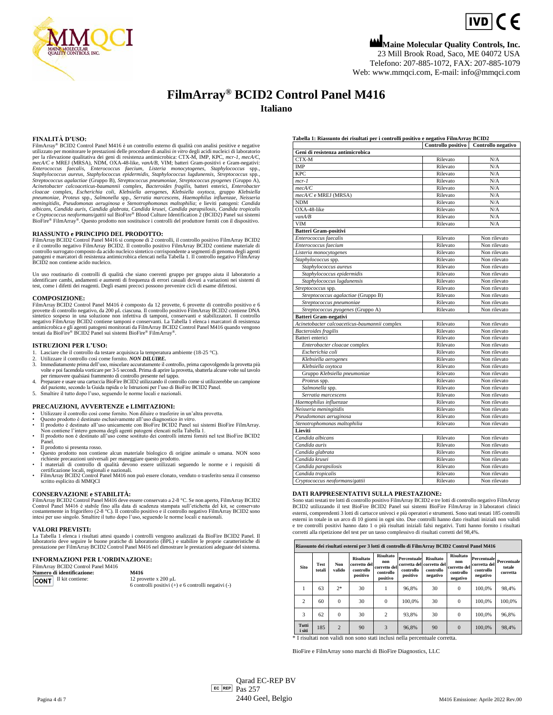

# $IVD$   $C$   $E$

**Maine Molecular Quality Controls, Inc.** 23 Mill Brook Road, Saco, ME 04072 USA Telefono: 207-885-1072, FAX: 207-885-1079 Web[: www.mmqci.com,](http://www.mmqci.com/) E-mail[: info@mmqci.com](mailto:info@mmqci.com)

## **FilmArray® BCID2 Control Panel M416**

**Italiano**

#### **FINALITÀ D'USO:**

FilmArray® BCID2 Control Panel M416 è un controllo esterno di qualità con analisi positive e negative utilizzato per monitorare le prestazioni delle procedure di analisi *in vitro* degli acidi nucleici di laboratorio per l Streptococcus agalactiae (Gruppo B), Streptococcus pneumoniae, Streptococcus pyogenes (Gruppo A),<br>Acinetobacter calcoaceticus-baumannii complex, Bacteroides fragilis, batteri enterici, Enterobacter cloacae complex, Escherichia coli, Klebsiella aerogenes, Klebsiella oxytoca, gruppo Klebsiella<br>pneumoniae, Proteus spp., Salmonella spp., Serratia marcescens, Haemophilus influenzae, Neisseria<br>meningitidis, Pseudomonas aer BioFire® FilmArray®. Questo prodotto non sostituisce i controlli del produttore forniti con il dispositivo.

#### **RIASSUNTO e PRINCIPIO DEL PRODOTTO:**

FilmArrayBCID2 Control Panel M416 si compone di 2 controlli, il controllo positivo FilmArray BCID2 e il controllo negativo FilmArray BCID2. Il controllo positivo FilmArray BCID2 contiene materiale di controllo surrogato composto da acido nucleico sintetico corrispondente a segmenti di genoma degli agenti<br>patogeni e marcatori di resistenza antimicrobica elencati nella Tabella 1. Il controllo negativo FilmArray<br>BCID2 non

Un uso routinario di controlli di qualità che siano coerenti gruppo per gruppo aiuta il laboratorio a identificare cambi, andamenti e aumenti di frequenza di errori casuali dovuti a variazioni nei sistemi di test, come i difetti dei reagenti. Degli esami precoci possono prevenire cicli di esame difettosi.

#### **COMPOSIZIONE:**

FilmArray BCID2 Control Panel M416 è composto da 12 provette, 6 provette di controllo positivo e 6 provette di controllo negativo, da 200 μL ciascuna. Il controllo positivo FilmArray BCID2 contiene DNA sintetico sospeso in una soluzione non infettiva di tamponi, conservanti e stabilizzatori. Il controllo negativo FilmArray BCID2 contiene tamponi e conservanti. La Tabella 1 elenca i marcatori di resistenza antimicrobica e

#### **ISTRUZIONI PER L'USO:**

Lasciare che il controllo da testare acquisisca la temperatura ambiente (18-25 °C).

- 
- 2. Utilizzare il controllo così come fornito. *NON DILUIRE.* 3. Immediatamente prima dell'uso, miscelare accuratamente il controllo, prima capovolgendo la provetta più volte e poi facendola vorticare per 3-5 secondi. Prima di aprire la provetta, sbatterla alcune volte sul tavolo<br>per rimuovere qualsiasi frammento di controllo presente nel tappo.<br>4. Preparare e usare una cartuccia BioFire
- del paziente, secondo la Guida rapida o le Istruzioni per l'uso di BioFire BCID2 Panel.
- 5. Smaltire il tutto dopo l'uso, seguendo le norme locali e nazionali.

#### **PRECAUZIONI, AVVERTENZE e LIMITAZIONI:**

- Utilizzare il controllo così come fornito. Non diluire o trasferire in un'altra provetta.
- Questo prodotto è destinato esclusivamente all'uso diagnostico *in vitro*. Il prodotto è destinato all'uso unicamente con BioFire BCID2 Panel sui sistemi BioFire FilmArray.
- Non contiene l'intero genoma degli agenti patogeni elencati nella Tabella 1. Il prodotto non è destinato all'uso come sostituto dei controlli interni forniti nel test BioFire BCID2
- Panel.
- 
- Il prodotto si presenta rosso. Questo prodotto non contiene alcun materiale biologico di origine animale o umana. NON sono
- richieste precauzioni universali per maneggiare questo prodotto.<br>• I materiali di controllo di qualità devono essere utilizzati seguendo le norme e i requisiti di<br>• certificazione locali, regionali e nazionali.<br>• FilmArray
- scritto esplicito di MMQCI

#### **CONSERVAZIONE e STABILITÀ:**

FilmArray BCID2 Control Panel M416 deve essere conservato a 2-8 °C. Se non aperto, FilmArray BCID2<br>Control Panel M416 è stabile fino alla data di scadenza stampata sull'etichetta del kit, se conservato<br>costantemente in fri

#### **VALORI PREVISTI:**

La Tabella 1 elenca i risultati attesi quando i controlli vengono analizzati da BioFire BCID2 Panel. Il<br>laboratorio deve seguire le buone pratiche di laboratorio (BPL) e stabilire le proprie caratteristiche di<br>prestazione

#### **INFORMAZIONI PER L'ORDINAZIONE:** FilmArray BCID2 Control Panel M416

| M416                                                                                 |
|--------------------------------------------------------------------------------------|
| 12 provette $x 200 \mu L$<br>6 controlli positivi $(+)$ e 6 controlli negativi $(-)$ |
|                                                                                      |

**Tabella 1: Riassunto dei risultati per i controlli positivo e negativo FilmArray BCID2**

| тажна т. кназания истивники рег гелитон рознито е недаито т пипти а |          | Controllo positivo Controllo negativo |
|---------------------------------------------------------------------|----------|---------------------------------------|
| Geni di resistenza antimicrobica                                    |          |                                       |
| CTX-M                                                               | Rilevato | N/A                                   |
| <b>IMP</b>                                                          | Rilevato | N/A                                   |
| <b>KPC</b>                                                          | Rilevato | N/A                                   |
|                                                                     |          |                                       |
| $mcr-1$                                                             | Rilevato | N/A                                   |
| mecA/C                                                              | Rilevato | N/A                                   |
| mecA/C e MREJ (MRSA)                                                | Rilevato | N/A                                   |
| <b>NDM</b>                                                          | Rilevato | N/A                                   |
| OXA-48-like                                                         | Rilevato | N/A                                   |
| van A/B                                                             | Rilevato | N/A                                   |
| <b>VIM</b>                                                          | Rilevato | N/A                                   |
| <b>Batteri Gram-positivi</b>                                        |          |                                       |
| Enterococcus faecalis                                               | Rilevato | Non rilevato                          |
| Enterococcus faecium                                                | Rilevato | Non rilevato                          |
| Listeria monocytogenes                                              | Rilevato | Non rilevato                          |
| Staphylococcus spp.                                                 | Rilevato | Non rilevato                          |
| Staphylococcus aureus                                               | Rilevato | Non rilevato                          |
| Staphylococcus epidermidis                                          | Rilevato | Non rilevato                          |
| Staphylococcus lugdunensis                                          | Rilevato | Non rilevato                          |
| Streptococcus spp.                                                  | Rilevato | Non rilevato                          |
| Streptococcus agalactiae (Gruppo B)                                 | Rilevato | Non rilevato                          |
| Streptococcus pneumoniae                                            | Rilevato | Non rilevato                          |
| Streptococcus pyogenes (Gruppo A)                                   | Rilevato | Non rilevato                          |
| <b>Batteri Gram-negativi</b>                                        |          |                                       |
| Acinetobacter calcoaceticus-baumannii complex                       | Rilevato | Non rilevato                          |
| <b>Bacteroides</b> fragilis                                         | Rilevato | Non rilevato                          |
| Batteri enterici                                                    | Rilevato | Non rilevato                          |
| Enterobacter cloacae complex                                        | Rilevato | Non rilevato                          |
| Escherichia coli                                                    | Rilevato | Non rilevato                          |
| Klebsiella aerogenes                                                | Rilevato | Non rilevato                          |
| Klebsiella oxytoca                                                  | Rilevato | Non rilevato                          |
| Gruppo Klebsiella pneumoniae                                        | Rilevato | Non rilevato                          |
| Proteus spp.                                                        | Rilevato | Non rilevato                          |
| Salmonella spp.                                                     | Rilevato | Non rilevato                          |
| Serratia marcescens                                                 | Rilevato | Non rilevato                          |
| Haemophilus influenzae                                              | Rilevato | Non rilevato                          |
| Neisseria meningitidis                                              | Rilevato | Non rilevato                          |
| Pseudomonas aeruginosa                                              | Rilevato | Non rilevato                          |
| Stenotrophomonas maltophilia                                        | Rilevato | Non rilevato                          |
| Lieviti                                                             |          |                                       |
| Candida albicans                                                    |          |                                       |
|                                                                     | Rilevato | Non rilevato                          |
| Candida auris                                                       | Rilevato | Non rilevato                          |
| Candida glabrata                                                    | Rilevato | Non rilevato                          |
| Candida krusei                                                      | Rilevato | Non rilevato                          |
| Candida parapsilosis                                                | Rilevato | Non rilevato                          |
| Candida tropicalis                                                  | Rilevato | Non rilevato                          |
| Cryptococcus neoformans/gattii                                      | Rilevato | Non rilevato                          |

#### **DATI RAPPRESENTATIVI SULLA PRESTAZIONE:**

Sono stati testati tre lotti di controllo positivo FilmArray BCID2 e tre lotti di controllo negativo FilmArray BCID2 utilizzando il test BioFire BCID2 Panel sui sistemi BioFire FilmArray in 3 laboratori clinici esterni, comprendenti 3 lotti di cartucce univoci e più operatori e strumenti. Sono stati testati 185 controlli esterni in totale in un arco di 10 giorni in ogni sito. Due controlli hanno dato risultati iniziali non validi e tre controlli positivi hanno dato 1 o più risultati iniziali falsi negativi. Tutti hanno fornito i risultati corretti alla ripetizione del test per un tasso complessivo di risultati corretti del 98,4%.

| Riassunto dei risultati esterni per 3 lotti di controllo di FilmArray BCID2 Control Panel M416 |                       |                |                                                           |                                                           |                                      |                                                                        |                                                                  |                                                      |                                   |
|------------------------------------------------------------------------------------------------|-----------------------|----------------|-----------------------------------------------------------|-----------------------------------------------------------|--------------------------------------|------------------------------------------------------------------------|------------------------------------------------------------------|------------------------------------------------------|-----------------------------------|
| <b>Sito</b>                                                                                    | <b>Test</b><br>totali | Non<br>valido  | <b>Risultato</b><br>corretto del<br>controllo<br>positivo | Risultato<br>non<br>corretto del<br>controllo<br>positivo | Percentuale<br>controllo<br>positivo | <b>Risultato</b><br>corretta del corretto del<br>controllo<br>negativo | <b>Risultato</b><br>non<br>corretto del<br>controllo<br>negativo | Percentuale<br>corretta del<br>controllo<br>negativo | Percentuale<br>totale<br>corretta |
|                                                                                                | 63                    | $2*$           | 30                                                        |                                                           | 96.8%                                | 30                                                                     | $\Omega$                                                         | 100.0%                                               | 98.4%                             |
| $\overline{c}$                                                                                 | 60                    | $\theta$       | 30                                                        | $\Omega$                                                  | 100.0%                               | 30                                                                     | $\Omega$                                                         | 100.0%                                               | 100.0%                            |
| 3                                                                                              | 62                    | $\theta$       | 30                                                        | $\overline{2}$                                            | 93,8%                                | 30                                                                     | $\Omega$                                                         | 100.0%                                               | 96.8%                             |
| Tutti<br>i siti                                                                                | 185                   | $\overline{2}$ | 90                                                        | 3                                                         | 96.8%                                | 90                                                                     | $\Omega$                                                         | 100.0%                                               | 98.4%                             |

\* I risultati non validi non sono stati inclusi nella percentuale corretta.

BioFire e FilmArray sono marchi di BioFire Diagnostics, LLC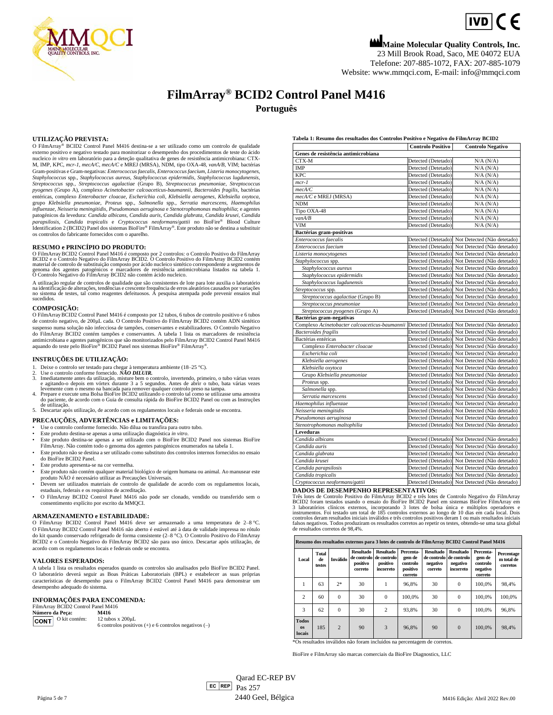

 $IVD$   $C$   $E$ 

**Maine Molecular Quality Controls, Inc.** 23 Mill Brook Road, Saco, ME 04072 EUA Telefone: 207-885-1072, FAX: 207-885-1079 Website[: www.mmqci.com,](http://www.mmqci.com/) E-mail[: info@mmqci.com](mailto:info@mmqci.com)

## **FilmArray® BCID2 Control Panel M416 Português**

#### **UTILIZAÇÃO PREVISTA:**

O FilmArray® BCID2 Control Panel M416 destina-se a ser utilizado como um controlo de qualidade externo positivo e negativo testado para monitorizar o desempenho dos procedimentos de teste do ácido nucleico *in vitro* em laboratório para a deteção qualitativa de genes de resistência antimicrobiana: CTX-<br>M, IMP, KPC, *mcr-1, mecA/C, mecA/C* e MREJ (MRSA), NDM, tipo OXA-48, *vanA/B*, VIM; bactérias Gram-positivas e Gram-negativas: *Enterococcus faecalis*, *Enterococcus faecium*, *Listeria monocytogenes*, Staphylococcus spp., Staphylococcus aureus, Staphylococcus epidermidis, Staphylococcus lugdunensis,<br>Streptococcus spp., Streptococcus agalactiae (Grupo B), Streptococcus pneumoniae, Streptococcus *pyogenes* (Grupo A), complexo *Acinetobacter calcoaceticus-baumannii*, *Bacteroides fragilis*, bactérias entéricas, complexo *Enterobacter cloacae, Escherichia coli, Klebsiella aerogenes, Klebsiella oxytoca,*<br>grupo *Klebsiella pneumoniae, Proteus s*pp., *Salmonella s*pp., *Serratia marcescens, Haemophilus influenzae*, *Neisseria meningitidis*, *Pseudomonas aeruginosa* e *Stenotrophomonas maltophilia*; e agentes patogénicos da levedura: *Candida albicans, Candida auris, Candida glabrata, Candida krusei, Candida*<br>*parapsilosis, Candida tropicalis e Cryptococcus neoformans/gattii no BioFire® Blood Culture* Identification 2 (BCID2) Panel dos sistemas BioFire® FilmArray®. Este produto não se destina a substituir os controlos do fabricante fornecidos com o aparelho.

#### **RESUMO e PRINCÍPIO DO PRODUTO:**

O FilmArray BCID2 Control Panel M416 é composto por 2 controlos: o Controlo Positivo do FilmArray BCID2 e o Controlo Negativo do FilmArray BCID2 contém<br>BCID2 e o Controlo Negativo do FilmArray BCID2. O Controlo Positivo do

A utilização regular de controlos de qualidade que são consistentes de lote para lote auxilia o laboratório<br>na identificação de alterações, tendências e crescente frequência de erros aleatórios causados por variações<br>no si sucedidos.

#### **COMPOSIÇÃO:**

O FilmArrayBCID2 Control Panel M416 é composto por 12 tubos, 6 tubos de controlo positivo e 6 tubos de controlo negativo, de 200μL cada. O Controlo Positivo do FilmArray BCID2 contém ADN sintético suspenso numa solução não infecciosa de tampões, conservantes e estabilizadores. O Controlo Negativo do FilmArray BCID2 contém tampões e conservantes. A tabela 1 lista os marcadores de resistência antimicrobiana e agentes patogénicos que são monitorizados pelo FilmArray BCID2 Control Panel M416<br>aquando do teste pelo BioFire® BCID2 Panel nos sistemas BioFire® FilmArray®.

#### **INSTRUÇÕES DE UTILIZAÇÃO:**

- 1. Deixe o controlo ser testado para chegar à temperatura ambiente (18–25 °C). 2. Use o controlo conforme fornecido. *NÃO DILUIR.*
- 
- 3. Imediatamente antes da utilização, misture bem o controlo, invertendo, primeiro, o tubo várias vezes<br>e agitando-o depois em vórtex durante 3 a 5 segundos. Antes de abrir o tubo, bata várias vezes<br>levemente com o mesmo n
- aciente, de acordo com o Guia de consulta rápida do BioFire BCID2 Panel ou com as Instruções de utilização.
- 5. Descartar após utilização, de acordo com os regulamentos locais e federais onde se encontra.

#### **PRECAUÇÕES, ADVERTÊNCIAS e LIMITAÇÕES:**

- Use o controlo conforme fornecido. Não dilua ou transfira para outro tubo. Este produto destina-se apenas a uma utilização diagnóstica *in vitro*.
- 
- Este produto destina-se apenas a ser utilizado com o BioFire BCID2 Panel nos sistemas BioFire FilmArray. Não contém todo o genoma dos agentes patogénicos enumerados na tabela 1.
- Este produto não se destina a ser utilizado como substituto dos controlos internos fornecidos no ensaio do BioFire BCID2 Panel.
- Este produto apresenta-se na cor vermelha
- Este produto não contém qualquer material biológico de origem humana ou animal. Ao manusear este produto NÃO é necessário utilizar as Precauções Universais.
- Devem ser utilizados materiais de controlo de qualidade de acordo com os regulamentos locais, estaduais, federais e os requisitos de acreditação. • O FilmArray BCID2 Control Panel M416 não pode ser clonado, vendido ou transferido sem o
- consentimento explícito por escrito da MMQCI.

#### **ARMAZENAMENTO e ESTABILIDADE:**

O FilmArray BCID2 Control Panel M416 deve ser armazenado a uma temperatura de 2–8 °C. O FilmArray BCID2 Control Panel M416 não aberto é estável até à data de validade impressa no rótulo do kit quando conservado refrigerado de forma consistente (2–8 °C). O Controlo Positivo do FilmArray BCID2 e o Controlo Negativo do FilmArray BCID2 são para uso único. Descartar após utilização, de acordo com os regulamentos locais e federais onde se encontra.

#### **VALORES ESPERADOS:**

A tabela 1 lista os resultados esperados quando os controlos são analisados pelo BioFire BCID2 Panel. O laboratório deverá seguir as Boas Práticas Laboratoriais (BPL) e estabelecer as suas próprias características de desempenho para o FilmArray BCID2 Control Panel M416 para demonstrar um desempenho adequado do sistema.

#### **INFORMAÇÕES PARA ENCOMENDA:**

| FilmArray BCID2 Control Panel M416 |                           |                                                           |  |  |  |
|------------------------------------|---------------------------|-----------------------------------------------------------|--|--|--|
|                                    | Número da Peca:           | M416                                                      |  |  |  |
|                                    | <b>CONT</b> O kit contém: | 12 tubos x $200 \mu L$                                    |  |  |  |
|                                    |                           | 6 controlos positivos $(+)$ e 6 controlos negativos $(-)$ |  |  |  |

**Tabela 1: Resumo dos resultados dos Controlos Positivo e Negativo do FilmArray BCID2**

|                                                                                                | <b>Controlo Positivo</b> | <b>Controlo Negativo</b>                        |
|------------------------------------------------------------------------------------------------|--------------------------|-------------------------------------------------|
| Genes de resistência antimicrobiana                                                            |                          |                                                 |
| CTX-M                                                                                          | Detected (Detetado)      | $N/A$ $(N/A)$                                   |
| <b>IMP</b>                                                                                     | Detected (Detetado)      | N/A (N/A)                                       |
| <b>KPC</b>                                                                                     | Detected (Detetado)      | $N/A$ $(N/A)$                                   |
| $mcr-1$                                                                                        | Detected (Detetado)      | $N/A$ $(N/A)$                                   |
| mecA/C                                                                                         | Detected (Detetado)      | N/A (N/A)                                       |
| mecA/C e MREJ (MRSA)                                                                           | Detected (Detetado)      | $N/A$ $(N/A)$                                   |
| <b>NDM</b>                                                                                     | Detected (Detetado)      | N/A (N/A)                                       |
| Tipo OXA-48                                                                                    | Detected (Detetado)      | N/A (N/A)                                       |
| van A/B                                                                                        | Detected (Detetado)      | N/A (N/A)                                       |
| <b>VIM</b>                                                                                     | Detected (Detetado)      | N/A (N/A)                                       |
| Bactérias gram-positivas                                                                       |                          |                                                 |
| Enterococcus faecalis                                                                          |                          | Detected (Detetado) Not Detected (Não detetado) |
| Enterococcus faecium                                                                           | Detected (Detetado)      | Not Detected (Não detetado)                     |
| Listeria monocytogenes                                                                         | Detected (Detetado)      | Not Detected (Não detetado)                     |
| Staphylococcus spp.                                                                            | Detected (Detetado)      | Not Detected (Não detetado)                     |
| Staphylococcus aureus                                                                          |                          | Detected (Detetado) Not Detected (Não detetado) |
| Staphylococcus epidermidis                                                                     |                          | Detected (Detetado) Not Detected (Não detetado) |
| Staphylococcus lugdunensis                                                                     |                          | Detected (Detetado) Not Detected (Não detetado) |
| Streptococcus spp.                                                                             | Detected (Detetado)      | Not Detected (Não detetado)                     |
| Streptococcus agalactiae (Grupo B)                                                             | Detected (Detetado)      | Not Detected (Não detetado)                     |
| Streptococcus pneumoniae                                                                       | Detected (Detetado)      | Not Detected (Não detetado)                     |
| Streptococcus pyogenes (Grupo A)                                                               | Detected (Detetado)      | Not Detected (Não detetado)                     |
| Bactérias gram-negativas                                                                       |                          |                                                 |
| Complexo Acinetobacter calcoaceticus-baumannii Detected (Detetado) Not Detected (Não detetado) |                          |                                                 |
| <b>Bacteroides</b> fragilis                                                                    | Detected (Detetado)      | Not Detected (Não detetado)                     |
| Bactérias entéricas                                                                            |                          | Detected (Detetado) Not Detected (Não detetado) |
| Complexo Enterobacter cloacae                                                                  |                          | Detected (Detetado) Not Detected (Não detetado) |
| Escherichia coli                                                                               |                          | Detected (Detetado) Not Detected (Não detetado) |
| Klebsiella aerogenes                                                                           |                          | Detected (Detetado) Not Detected (Não detetado) |
| Klebsiella oxytoca                                                                             |                          | Detected (Detetado) Not Detected (Não detetado) |
| Grupo Klebsiella pneumoniae                                                                    | Detected (Detetado)      | Not Detected (Não detetado)                     |
| Proteus spp.                                                                                   | Detected (Detetado)      | Not Detected (Não detetado)                     |
| Salmonella spp.                                                                                | Detected (Detetado)      | Not Detected (Não detetado)                     |
| Serratia marcescens                                                                            | Detected (Detetado)      | Not Detected (Não detetado)                     |
| Haemophilus influenzae                                                                         | Detected (Detetado)      | Not Detected (Não detetado)                     |
| Neisseria meningitidis                                                                         | Detected (Detetado)      | Not Detected (Não detetado)                     |
| Pseudomonas aeruginosa                                                                         | Detected (Detetado)      | Not Detected (Não detetado)                     |
| Stenotrophomonas maltophilia                                                                   | Detected (Detetado)      | Not Detected (Não detetado)                     |
| <b>Leveduras</b>                                                                               |                          |                                                 |
| Candida albicans                                                                               |                          | Detected (Detetado) Not Detected (Não detetado) |
| Candida auris                                                                                  |                          | Detected (Detetado) Not Detected (Não detetado) |
| Candida glabrata                                                                               |                          | Detected (Detetado) Not Detected (Não detetado) |
| Candida krusei                                                                                 |                          | Detected (Detetado) Not Detected (Não detetado) |
| Candida parapsilosis                                                                           |                          | Detected (Detetado) Not Detected (Não detetado) |
| Candida tropicalis                                                                             |                          | Detected (Detetado) Not Detected (Não detetado) |
| Cryptococcus neoformans/gattii                                                                 |                          | Detected (Detetado) Not Detected (Não detetado) |

**DADOS DE DESEMPENHO REPRESENTATIVOS:**

Três lotes de Controlo Positivo do FilmArray BCID2 e três lotes de Controlo Negativo do FilmArray em<br>BCID2 foram testados usando o ensaio do BioFire BCID2 Panel em sistemas BioFire FilmArray em<br>3 laboratórios clínicos exte

|                                     | Resumo dos resultados externos para 3 lotes de controlo de FilmArray BCID2 Control Panel M416 |                 |                                         |                                                                          |                                                        |                                         |                                                               |                                                        |                                      |  |
|-------------------------------------|-----------------------------------------------------------------------------------------------|-----------------|-----------------------------------------|--------------------------------------------------------------------------|--------------------------------------------------------|-----------------------------------------|---------------------------------------------------------------|--------------------------------------------------------|--------------------------------------|--|
| Local                               | Total<br>de<br>testes                                                                         | <b>Inválido</b> | <b>Resultado</b><br>positivo<br>correto | <b>Resultado</b><br>de controlo   de controlo  <br>positivo<br>incorreto | Percenta-<br>gem de<br>controlo<br>positivo<br>correto | <b>Resultado</b><br>negativo<br>correto | Resultado<br>de controlo de controlo<br>negativo<br>incorreto | Percenta-<br>gem de<br>controlo<br>negativo<br>correto | Percentage<br>m total de<br>corretos |  |
| 1                                   | 63                                                                                            | $2*$            | 30                                      | 1                                                                        | 96.8%                                                  | 30                                      | $\mathbf{0}$                                                  | 100.0%                                                 | 98.4%                                |  |
| $\overline{c}$                      | 60                                                                                            | $\mathbf{0}$    | 30                                      | $\mathbf{0}$                                                             | 100.0%                                                 | 30                                      | $\mathbf{0}$                                                  | 100.0%                                                 | 100.0%                               |  |
| 3                                   | 62                                                                                            | $\Omega$        | 30                                      | $\overline{c}$                                                           | 93,8%                                                  | 30                                      | $\Omega$                                                      | 100.0%                                                 | 96.8%                                |  |
| <b>Todos</b><br><b>OS</b><br>locais | 185                                                                                           | $\overline{2}$  | 90                                      | 3                                                                        | 96.8%                                                  | 90                                      | $\mathbf{0}$                                                  | 100.0%                                                 | 98.4%                                |  |

\*Os resultados inválidos não foram incluídos na percentagem de corretos.

BioFire e FilmArray são marcas comerciais da BioFire Diagnostics, LLC

Página 5 de 7 **EC REP** Qarad EC-REP BV  $\begin{array}{|c|c|c|}\n\hline\n\text{EC} & \text{REP} & \text{Pas} & 257 \\
\hline\n\end{array}$ 2440 Geel, Bélgica M416 Edição: Abril 2022 Rev.00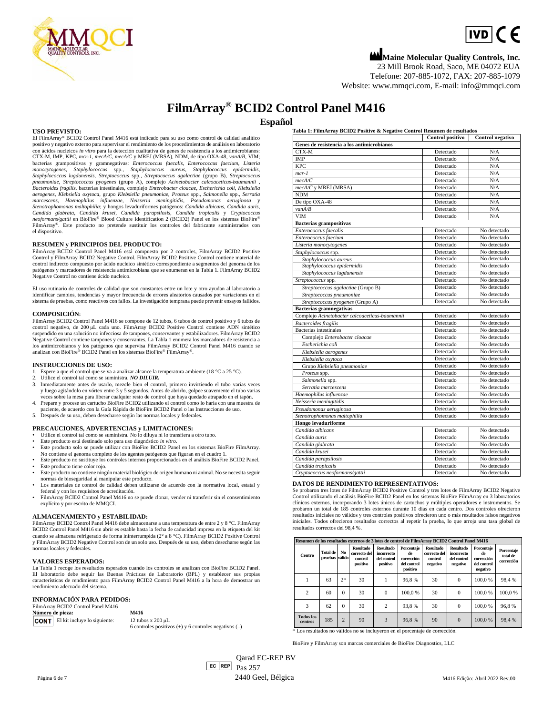

# $\boxed{IVD}$  (  $\in$

**Maine Molecular Quality Controls, Inc.** 23 Mill Brook Road, Saco, ME 04072 EUA

Telefone: 207-885-1072, FAX: 207-885-1079 Website[: www.mmqci.com,](http://www.mmqci.com/) E-mail[: info@mmqci.com](mailto:info@mmqci.com)

## **FilmArray® BCID2 Control Panel M416**

**Español**

**USO PREVISTO:**

El FilmArray® BCID2 Control Panel M416 está indicado para su uso como control de calidad analítico positivo y negativo externo para supervisar el rendimiento de los procedimientos de análisis en laboratorio con ácidos nucleicos *in vitro* para la detección cualitativa de genes de resistencia a los antimicrobianos: CTX-M, IMP, KPC, *mcr-1*, *mecA/C*, *mecA/C* y MREJ (MRSA), NDM, de tipo OXA-48*, vanA/B*, VIM; bacterias grampositivas y gramnegativas: *Enterococcus faecalis, Enterococcus faecium, Listeria*<br>monocytogenes, Staphylococcus spp., Staphylococcus aureus, Staphylococcus epidermidis, Staphylococcus lugdunensis, Streptococcus spp., Streptococcus agalactiae (grupo B), Streptococcus<br>pneumoniae, Streptococcus pyogenes (grupo A), complejo Acinetobacter calcoaceticus-baumannii , *Bacteroides fragilis*, bacterias intestinales, complejo *Enterobacter cloacae*, *Escherichia coli*, *Klebsiella*  aerogenes, Klebsiella oxytoca, grupo Klebsiella pneumoniae, Proteus spp., Salmonella spp., Serratia<br>marcescens, Haemophilus influenzae, Neisseria meningitidis, Pseudomonas aeruginosa y<br>Stenotrophomonas maltophilia; y *neoformans/gattii* en BioFire® Blood Culture Identification 2 (BCID2) Panel en los sistemas BioFire® FilmArray®. Este producto no pretende sustituir los controles del fabricante suministrados con el dispositivo.

#### **RESUMEN y PRINCIPIOS DEL PRODUCTO:**

FilmArray BCID2 Control Panel M416 está compuesto por 2 controles, FilmArray BCID2 Positive Control y FilmArray BCID2 Negative Control. FilmArray BCID2 Positive Control contiene material de control indirecto compuesto por ácido nucleico sintético correspondiente a segmentos del genoma de los patógenos y marcadores de resistencia antimicrobiana que se enumeran en la Tabla 1. FilmArray BCID2 Negative Control no contiene ácido nucleico.

El uso rutinario de controles de calidad que son constantes entre un lote y otro ayudan al laboratorio a identificar cambios, tendencias y mayor frecuencia de errores aleatorios causados por variaciones en el sistema de pruebas, como reactivos con fallos. La investigación temprana puede prevenir ensayos fallidos.

#### **COMPOSICIÓN:**

FilmArrayBCID2 Control Panel M416 se compone de 12 tubos, 6 tubos de control positivo y 6 tubos de control negativo, de 200 μL cada uno. FilmArray BCID2 Positive Control contiene ADN sintético sus en una solución no infecciosa de tampones, conservantes y estabilizadores. FilmArray BCID2 Negative Control contiene tampones y conservantes. La Tabla 1 enumera los marcadores de resistencia a los antimicrobianos y los patógenos que supervisa FilmArray BCID2 Control Panel M416 cuando se analizan con BioFire® BCID2 Panel en los sistemas BioFire® FilmArray®.

#### **INSTRUCCIONES DE USO:**

- Espere a que el control que se va a analizar alcance la temperatura ambiente (18 °C a 25 °C).
- 2. Utilice el control tal como se suministra. *NO DILUIR.* 3. Inmediatamente antes de usarlo, mezcle bien el control, primero invirtiendo el tubo varias veces y luego agitándolo en vórtex entre 3 y 5 segundos. Antes de abrirlo, golpee suavemente el tubo varias
- veces sobre la mesa para liberar cualquier resto de control que haya quedado atrapado en el tapón. 4. Prepare y procese un cartucho BioFire BCID2 utilizando el control como lo haría con una muestra de
- paciente, de acuerdo con la Guía Rápida de BioFire BCID2 Panel o las Instrucciones de uso. 5. Después de su uso, deben desecharse según las normas locales y federales.

#### **PRECAUCIONES, ADVERTENCIAS y LIMITACIONES:**

- Utilice el control tal como se suministra. No lo diluya ni lo transfiera a otro tubo.
- Este producto está destinado solo para uso diagnóstico *in vitro*.
- Este producto solo se puede utilizar con BioFire BCID2 Panel en los sistemas BioFire FilmArray. No contiene el genoma completo de los agentes patógenos que figuran en el cuadro 1. • Este producto no sustituye los controles internos proporcionados en el análisis BioFire BCID2 Panel.
- Este producto tiene color rojo.
- Este producto no contiene ningún material biológico de origen humano ni animal. No se necesita seguir normas de bioseguridad al manipular este producto.
- Los materiales de control de calidad deben utilizarse de acuerdo con la normativa local, estatal y federal y con los requisitos de acreditación.
- FilmArray BCID2 Control Panel M416 no se puede clonar, vender ni transferir sin el consentimiento explícito y por escrito de MMQCI.

#### **ALMACENAMIENTO y ESTABILIDAD:**

FilmArray BCID2 Control Panel M416 debe almacenarse a una temperatura de entre 2 y 8 °C. FilmArray BCID2 Control Panel M416 sin abrir es estable hasta la fecha de caducidad impresa en la etiqueta del kit cuando se almacena refrigerado de forma ininterrumpida (2° a 8 °C). FilmArray BCID2 Positive Control y FilmArray BCID2 Negative Control son de un solo uso. Después de su uso, deben desecharse según las normas locales y federales.

#### **VALORES ESPERADOS:**

La Tabla 1 recoge los resultados esperados cuando los controles se analizan con BioFire BCID2 Panel. El laboratorio debe seguir las Buenas Prácticas de Laboratorio (BPL) y establecer sus propias características de rendimiento para FilmArray BCID2 Control Panel M416 a la hora de demostrar un rendimiento adecuado del sistema.

#### **INFORMACIÓN PARA PEDIDOS:**

|  | FilmArray BCID2 Control Panel M416       |                                                           |
|--|------------------------------------------|-----------------------------------------------------------|
|  | Número de pieza:                         | M416                                                      |
|  | <b>CONT</b> El kit incluye lo siguiente: | 12 tubos x $200 \mu L$                                    |
|  |                                          | 6 controles positivos $(+)$ y 6 controles negativos $(-)$ |

**Tabla 1: FilmArray BCID2 Positive & Negative Control Resumen de resultados**

|                                                | Control positivo | Control negativo |
|------------------------------------------------|------------------|------------------|
| Genes de resistencia a los antimicrobianos     |                  |                  |
| CTX-M                                          | Detectado        | N/A              |
| IMP                                            | Detectado        | N/A              |
| <b>KPC</b>                                     | Detectado        | N/A              |
| $mcr-1$                                        | Detectado        | N/A              |
| mecA/C                                         | Detectado        | N/A              |
| mecA/C y MREJ (MRSA)                           | Detectado        | N/A              |
| <b>NDM</b>                                     | Detectado        | N/A              |
| De tipo OXA-48                                 | Detectado        | N/A              |
| van A/B                                        | Detectado        | N/A              |
| <b>VIM</b>                                     | Detectado        | N/A              |
| <b>Bacterias grampositivas</b>                 |                  |                  |
| Enterococcus faecalis                          | Detectado        | No detectado     |
| Enterococcus faecium                           | Detectado        | No detectado     |
| Listeria monocytogenes                         | Detectado        | No detectado     |
| Staphylococcus spp.                            | Detectado        | No detectado     |
| Staphylococcus aureus                          | Detectado        | No detectado     |
| Staphylococcus epidermidis                     | Detectado        | No detectado     |
| Staphylococcus lugdunensis                     | Detectado        | No detectado     |
| Streptococcus spp.                             | Detectado        | No detectado     |
| Streptococcus agalactiae (Grupo B)             | Detectado        | No detectado     |
| Streptococcus pneumoniae                       | Detectado        | No detectado     |
| Streptococcus pyogenes (Grupo A)               | Detectado        | No detectado     |
| <b>Bacterias gramnegativas</b>                 |                  |                  |
| Complejo Acinetobacter calcoaceticus-baumannii | Detectado        | No detectado     |
| <b>Bacteroides</b> fragilis                    | Detectado        | No detectado     |
| <b>Bacterias</b> intestinales                  | Detectado        | No detectado     |
| Complejo Enterobacter cloacae                  | Detectado        | No detectado     |
| Escherichia coli                               | Detectado        | No detectado     |
| Klebsiella aerogenes                           | Detectado        | No detectado     |
| Klebsiella oxytoca                             | Detectado        | No detectado     |
| Grupo Klebsiella pneumoniae                    | Detectado        | No detectado     |
| Proteus spp.                                   | Detectado        | No detectado     |
| Salmonella spp.                                | Detectado        | No detectado     |
| Serratia marcescens                            | Detectado        | No detectado     |
| Haemophilus influenzae                         | Detectado        | No detectado     |
| Neisseria meningitidis                         | Detectado        | No detectado     |
| Pseudomonas aeruginosa                         | Detectado        | No detectado     |
| Stenotrophomonas maltophilia                   | Detectado        | No detectado     |
| Hongo levaduriforme                            |                  |                  |
| Candida albicans                               | Detectado        | No detectado     |
| Candida auris                                  | Detectado        | No detectado     |
| Candida glabrata                               | Detectado        | No detectado     |
| Candida krusei                                 | Detectado        | No detectado     |
| Candida parapsilosis                           | Detectado        | No detectado     |
| Candida tropicalis                             | Detectado        | No detectado     |
| Cryptococcus neoformans/gattii                 | Detectado        | No detectado     |

#### **DATOS DE RENDIMIENTO REPRESENTATIVOS:**

Se probaron tres lotes de FilmArray BCID2 Positive Control y tres lotes de FilmArray BCID2 Negative Control utilizando el análisis BioFire BCID2 Panel en los sistemas BioFire FilmArray en 3 laboratorios clínicos externos, incorporando 3 lotes únicos de cartuchos y múltiples operadores e instrumentos. Se probaron un total de 185 controles externos durante 10 días en cada centro. Dos controles ofrecieron resultados iniciales no válidos y tres controles positivos ofrecieron uno o más resultados falsos negativos iniciales. Todos ofrecieron resultados correctos al repetir la prueba, lo que arroja una tasa global de resultados correctos del 98,4 %.

|                             | Resumen de los resultados externos de 3 lotes de control de FilmArray BCID2 Control Panel M416 |                |                                                         |                                                           |                                                           |                                                         |                                                           |                                                           |                                      |  |
|-----------------------------|------------------------------------------------------------------------------------------------|----------------|---------------------------------------------------------|-----------------------------------------------------------|-----------------------------------------------------------|---------------------------------------------------------|-----------------------------------------------------------|-----------------------------------------------------------|--------------------------------------|--|
| Centro                      | <b>Total de</b><br>pruebas válido                                                              | No             | <b>Resultado</b><br>correcto del<br>control<br>positivo | <b>Resultado</b><br>incorrecto<br>del control<br>positivo | Porcentaie<br>de<br>corrección<br>del control<br>positivo | <b>Resultado</b><br>correcto del<br>control<br>negativo | <b>Resultado</b><br>incorrecto<br>del control<br>negativo | Porcentaie<br>de<br>corrección<br>del control<br>negativo | Porcentaie<br>total de<br>corrección |  |
|                             | 63                                                                                             | $2*$           | 30                                                      |                                                           | 96,8%                                                     | 30                                                      | $\Omega$                                                  | 100.0%                                                    | 98.4%                                |  |
| $\overline{c}$              | 60                                                                                             | $\theta$       | 30                                                      | $\mathbf{0}$                                              | 100.0%                                                    | 30                                                      | $\Omega$                                                  | 100.0%                                                    | 100.0%                               |  |
| 3                           | 62                                                                                             | $\theta$       | 30                                                      | $\overline{c}$                                            | 93,8%                                                     | 30                                                      | $\Omega$                                                  | 100.0%                                                    | 96,8%                                |  |
| <b>Todos</b> los<br>centros | 185                                                                                            | $\overline{2}$ | 90                                                      | 3                                                         | 96,8%                                                     | 90                                                      | $\Omega$                                                  | 100.0%                                                    | 98,4%                                |  |

\* Los resultados no válidos no se incluyeron en el porcentaje de corrección.

BioFire y FilmArray son marcas comerciales de BioFire Diagnostics, LLC